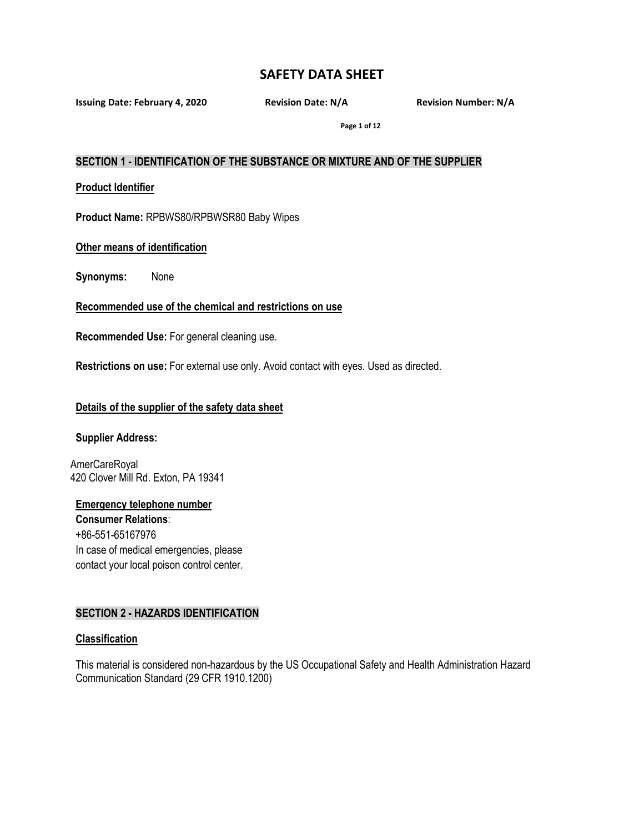**Issuing Date: February 4, 2020 Revision Date: N/A Revision Number: N/A**

**Page 1 of 12**

### **SECTION 1 - IDENTIFICATION OF THE SUBSTANCE OR MIXTURE AND OF THE SUPPLIER**

**Product Identifier**

**Product Name:** RPBWS80/RPBWSR80 Baby Wipes

### **Other means of identification**

**Synonyms:** None

**Recommended use of the chemical and restrictions on use**

**Recommended Use:** For general cleaning use.

**Restrictions on use:** For external use only. Avoid contact with eyes. Used as directed.

## **Details of the supplier of the safety data sheet**

#### **Supplier Address:**

AmerCareRoyal 420 Clover Mill Rd. Exton, PA 19341

**Emergency telephone number Consumer Relations**: +86-551-65167976 In case of medical emergencies, please contact your local poison control center.

## **SECTION 2 - HAZARDS IDENTIFICATION**

#### **Classification**

This material is considered non-hazardous by the US Occupational Safety and Health Administration Hazard Communication Standard (29 CFR 1910.1200)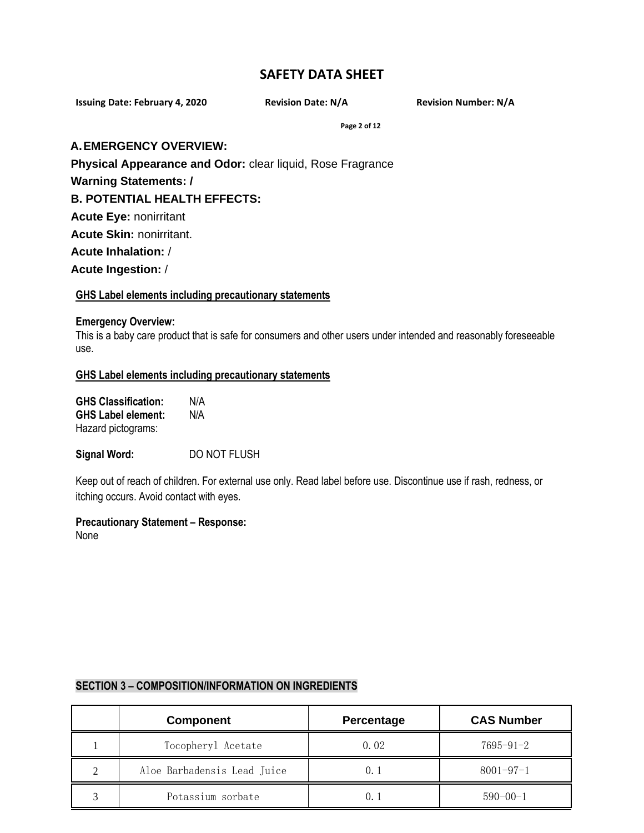**Issuing Date: February 4, 2020 Revision Date: N/A Revision Number: N/A**

**Page 2 of 12**

### **A.EMERGENCY OVERVIEW:**

**Physical Appearance and Odor:** clear liquid, Rose Fragrance

**Warning Statements: /**

**B. POTENTIAL HEALTH EFFECTS:**

**Acute Eye:** nonirritant

**Acute Skin:** nonirritant.

**Acute Inhalation:** /

**Acute Ingestion:** /

## **GHS Label elements including precautionary statements**

#### **Emergency Overview:**

This is a baby care product that is safe for consumers and other users under intended and reasonably foreseeable use.

#### **GHS Label elements including precautionary statements**

| <b>GHS Classification:</b> | N/A |
|----------------------------|-----|
| <b>GHS Label element:</b>  | N/A |
| Hazard pictograms:         |     |

**Signal Word:** DO NOT FLUSH

Keep out of reach of children. For external use only. Read label before use. Discontinue use if rash, redness, or itching occurs. Avoid contact with eyes.

## **Precautionary Statement – Response:**

None

|   | <b>Component</b>            | Percentage | <b>CAS Number</b> |
|---|-----------------------------|------------|-------------------|
|   | Tocopheryl Acetate          | 0.02       | $7695 - 91 - 2$   |
| ◠ | Aloe Barbadensis Lead Juice | 0.         | $8001 - 97 - 1$   |
|   | Potassium sorbate           | 0.         | $590 - 00 - 1$    |

# **SECTION 3 – COMPOSITION/INFORMATION ON INGREDIENTS**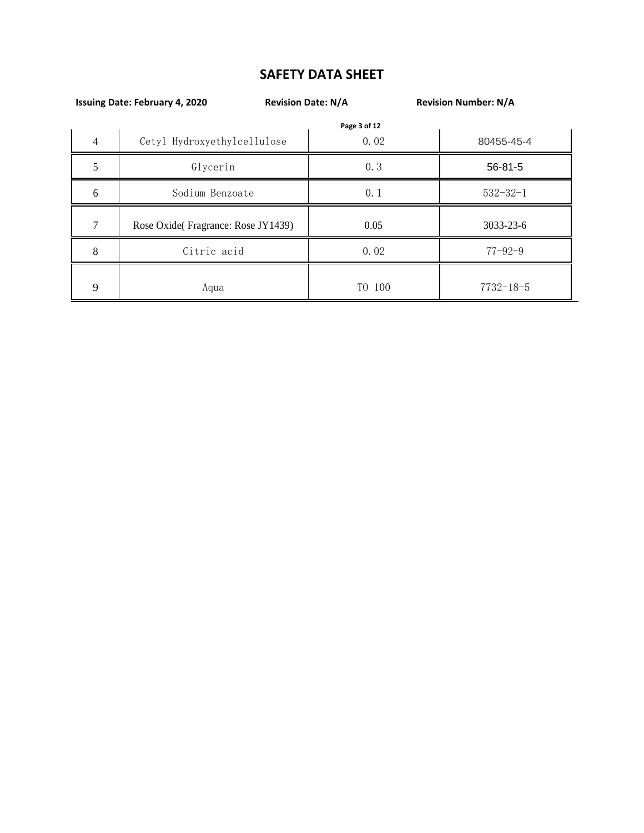|   | <b>Revision Date: N/A</b><br><b>Issuing Date: February 4, 2020</b> |              | <b>Revision Number: N/A</b> |
|---|--------------------------------------------------------------------|--------------|-----------------------------|
|   |                                                                    | Page 3 of 12 |                             |
| 4 | Cetyl Hydroxyethylcellulose                                        | 0.02         | 80455-45-4                  |
|   | Glycerin                                                           | 0.3          | $56 - 81 - 5$               |
| 6 | Sodium Benzoate                                                    | 0.1          | $532 - 32 - 1$              |
| 7 | Rose Oxide(Fragrance: Rose JY1439)                                 | 0.05         | 3033-23-6                   |
| 8 | Citric acid                                                        | 0.02         | $77 - 92 - 9$               |
| 9 | Aqua                                                               | TO 100       | $7732 - 18 - 5$             |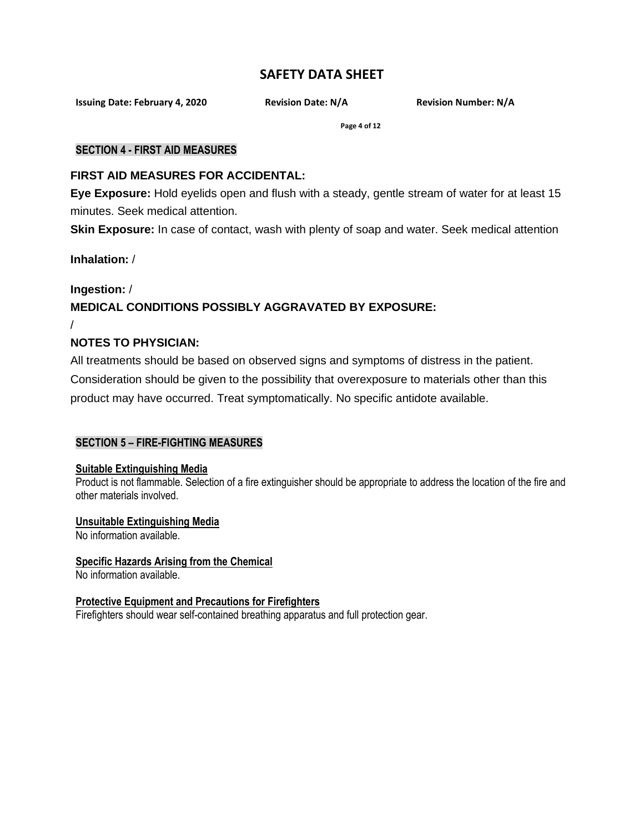**Issuing Date: February 4, 2020 Revision Date: N/A Revision Number: N/A**

**Page 4 of 12**

## **SECTION 4 - FIRST AID MEASURES**

# **FIRST AID MEASURES FOR ACCIDENTAL:**

**Eye Exposure:** Hold eyelids open and flush with a steady, gentle stream of water for at least 15 minutes. Seek medical attention.

**Skin Exposure:** In case of contact, wash with plenty of soap and water. Seek medical attention

**Inhalation:** /

/

# **Ingestion:** / **MEDICAL CONDITIONS POSSIBLY AGGRAVATED BY EXPOSURE:**

# **NOTES TO PHYSICIAN:**

All treatments should be based on observed signs and symptoms of distress in the patient. Consideration should be given to the possibility that overexposure to materials other than this product may have occurred. Treat symptomatically. No specific antidote available.

# **SECTION 5 – FIRE-FIGHTING MEASURES**

## **Suitable Extinguishing Media**

Product is not flammable. Selection of a fire extinguisher should be appropriate to address the location of the fire and other materials involved.

## **Unsuitable Extinguishing Media**

No information available.

# **Specific Hazards Arising from the Chemical**

No information available.

# **Protective Equipment and Precautions for Firefighters**

Firefighters should wear self-contained breathing apparatus and full protection gear.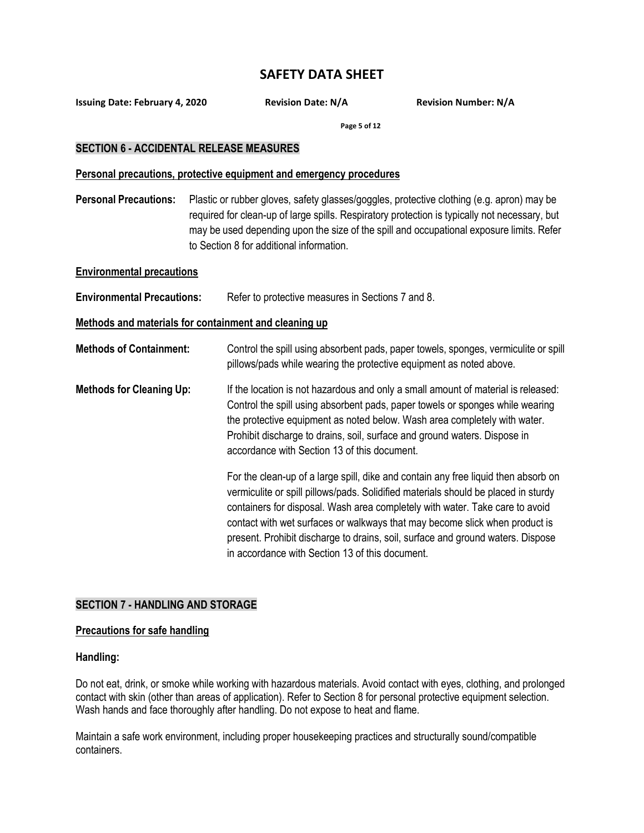**Issuing Date: February 4, 2020 Revision Date: N/A Revision Number: N/A**

**Page 5 of 12**

### **SECTION 6 - ACCIDENTAL RELEASE MEASURES**

#### **Personal precautions, protective equipment and emergency procedures**

**Personal Precautions:** Plastic or rubber gloves, safety glasses/goggles, protective clothing (e.g. apron) may be required for clean-up of large spills. Respiratory protection is typically not necessary, but may be used depending upon the size of the spill and occupational exposure limits. Refer to Section 8 for additional information.

#### **Environmental precautions**

**Environmental Precautions:** Refer to protective measures in Sections 7 and 8.

### **Methods and materials for containment and cleaning up**

- **Methods of Containment:** Control the spill using absorbent pads, paper towels, sponges, vermiculite or spill pillows/pads while wearing the protective equipment as noted above.
- **Methods for Cleaning Up:** If the location is not hazardous and only a small amount of material is released: Control the spill using absorbent pads, paper towels or sponges while wearing the protective equipment as noted below. Wash area completely with water. Prohibit discharge to drains, soil, surface and ground waters. Dispose in accordance with Section 13 of this document.

For the clean-up of a large spill, dike and contain any free liquid then absorb on vermiculite or spill pillows/pads. Solidified materials should be placed in sturdy containers for disposal. Wash area completely with water. Take care to avoid contact with wet surfaces or walkways that may become slick when product is present. Prohibit discharge to drains, soil, surface and ground waters. Dispose in accordance with Section 13 of this document.

## **SECTION 7 - HANDLING AND STORAGE**

#### **Precautions for safe handling**

#### **Handling:**

Do not eat, drink, or smoke while working with hazardous materials. Avoid contact with eyes, clothing, and prolonged contact with skin (other than areas of application). Refer to Section 8 for personal protective equipment selection. Wash hands and face thoroughly after handling. Do not expose to heat and flame.

Maintain a safe work environment, including proper housekeeping practices and structurally sound/compatible containers.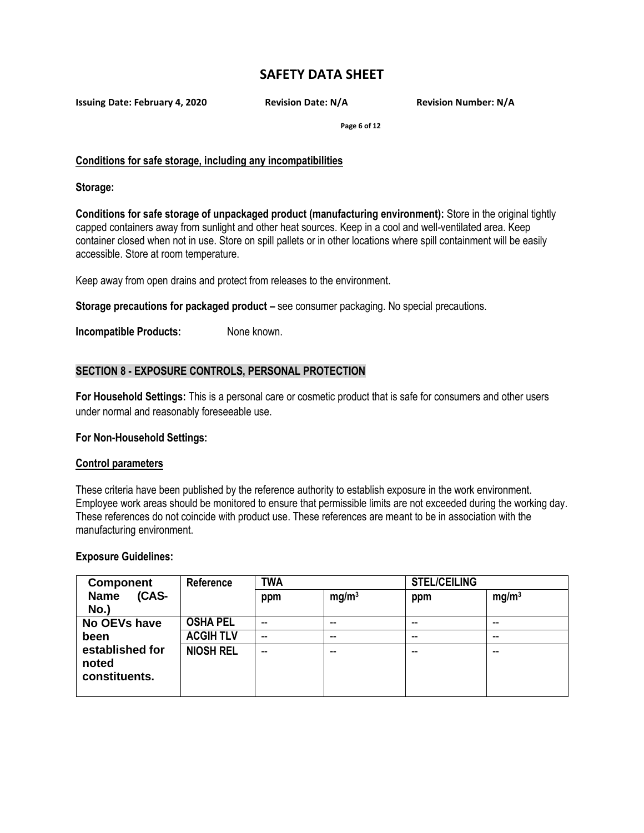**Issuing Date: February 4, 2020 Revision Date: N/A Revision Number: N/A**

**Page 6 of 12**

## **Conditions for safe storage, including any incompatibilities**

**Storage:**

**Conditions for safe storage of unpackaged product (manufacturing environment):** Store in the original tightly capped containers away from sunlight and other heat sources. Keep in a cool and well-ventilated area. Keep container closed when not in use. Store on spill pallets or in other locations where spill containment will be easily accessible. Store at room temperature.

Keep away from open drains and protect from releases to the environment.

**Storage precautions for packaged product –** see consumer packaging. No special precautions.

**Incompatible Products:** None known.

## **SECTION 8 - EXPOSURE CONTROLS, PERSONAL PROTECTION**

**For Household Settings:** This is a personal care or cosmetic product that is safe for consumers and other users under normal and reasonably foreseeable use.

## **For Non-Household Settings:**

#### **Control parameters**

These criteria have been published by the reference authority to establish exposure in the work environment. Employee work areas should be monitored to ensure that permissible limits are not exceeded during the working day. These references do not coincide with product use. These references are meant to be in association with the manufacturing environment.

**Exposure Guidelines:**

| <b>Component</b>     | Reference        | <b>TWA</b> |                   | <b>STEL/CEILING</b> |                   |
|----------------------|------------------|------------|-------------------|---------------------|-------------------|
| (CAS-<br><b>Name</b> |                  | ppm        | mg/m <sup>3</sup> | ppm                 | mg/m <sup>3</sup> |
| No.)                 |                  |            |                   |                     |                   |
| <b>No OEVs have</b>  | <b>OSHA PEL</b>  | $-$        | --                | --                  | --                |
| been                 | <b>ACGIH TLV</b> | $-$        | --                | $\sim$ $\sim$       | $-$               |
| established for      | <b>NIOSH REL</b> | --         | --                | --                  | --                |
| noted                |                  |            |                   |                     |                   |
| constituents.        |                  |            |                   |                     |                   |
|                      |                  |            |                   |                     |                   |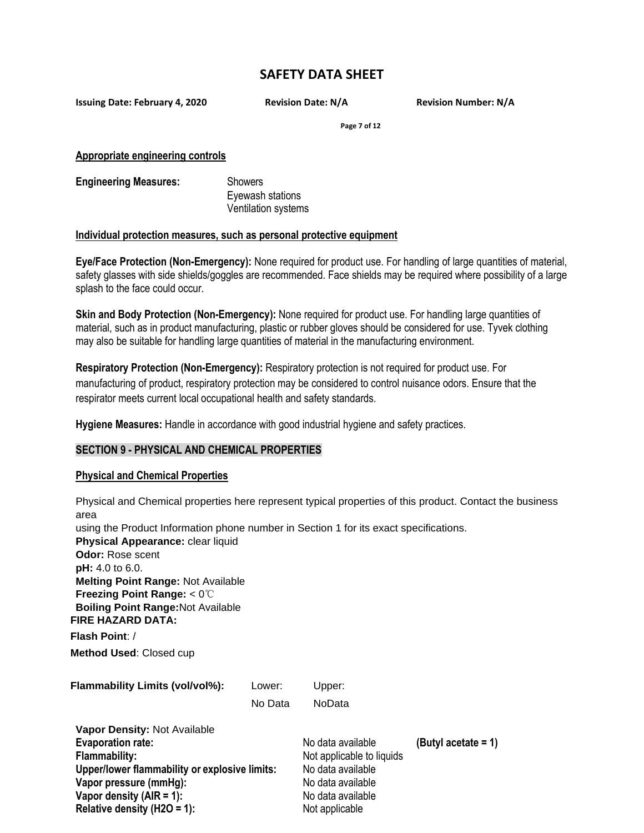**Issuing Date: February 4, 2020 Revision Date: N/A Revision Number: N/A**

**Page 7 of 12**

**Appropriate engineering controls**

**Engineering Measures:** Showers Eyewash stations Ventilation systems

#### **Individual protection measures, such as personal protective equipment**

**Eye/Face Protection (Non-Emergency):** None required for product use. For handling of large quantities of material, safety glasses with side shields/goggles are recommended. Face shields may be required where possibility of a large splash to the face could occur.

**Skin and Body Protection (Non-Emergency):** None required for product use. For handling large quantities of material, such as in product manufacturing, plastic or rubber gloves should be considered for use. Tyvek clothing may also be suitable for handling large quantities of material in the manufacturing environment.

**Respiratory Protection (Non-Emergency):** Respiratory protection is not required for product use. For manufacturing of product, respiratory protection may be considered to control nuisance odors. Ensure that the respirator meets current local occupational health and safety standards.

**Hygiene Measures:** Handle in accordance with good industrial hygiene and safety practices.

## **SECTION 9 - PHYSICAL AND CHEMICAL PROPERTIES**

#### **Physical and Chemical Properties**

Physical and Chemical properties here represent typical properties of this product. Contact the business area using the Product Information phone number in Section 1 for its exact specifications. **Physical Appearance:** clear liquid **Odor:** Rose scent **pH:** 4.0 to 6.0. **Melting Point Range:** Not Available **Freezing Point Range:** < 0℃ **Boiling Point Range:**Not Available **FIRE HAZARD DATA: Flash Point**: / **Method Used**: Closed cup **Flammability Limits (vol/vol%):** Lower: Upper: No Data NoData **Vapor Density:** Not Available **Evaporation rate:**  $\bullet$  **No data available (Butyl acetate = 1) Flammability:** Not applicable to liquids

**Upper/lower flammability or explosive limits:** No data available **Vapor pressure (mmHg):** No data available **Vapor density (AIR = 1):** No data available **Relative density (H2O = 1):** Not applicable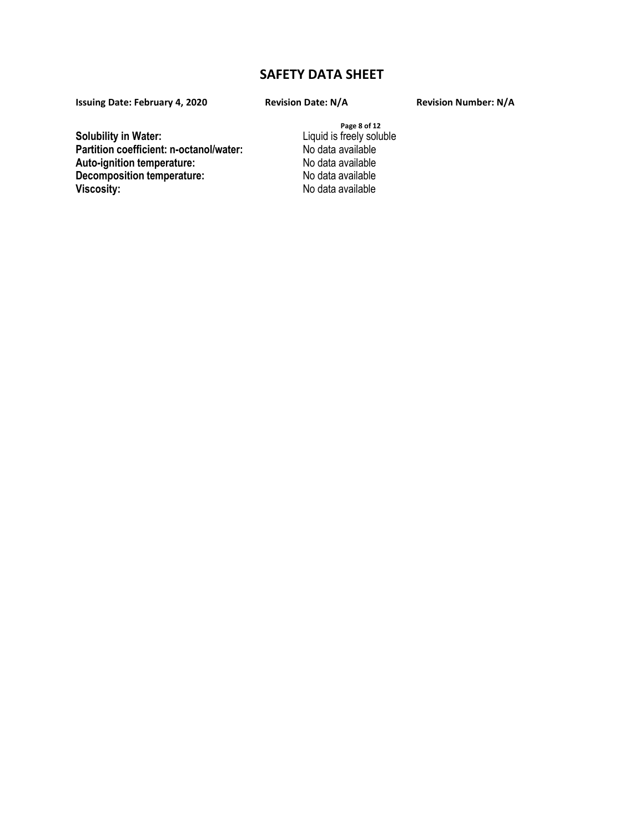**Issuing Date: February 4, 2020**

**Solubility in Water: Partition coefficient: n-octanol/water: Auto-ignition temperature: Decomposition temperature:** 

**Page 8 of 12** Liquid is freely soluble No data available No data available No data available **Viscosity:** No data available

#### **Revision Date: N/A Revision Number: N/A**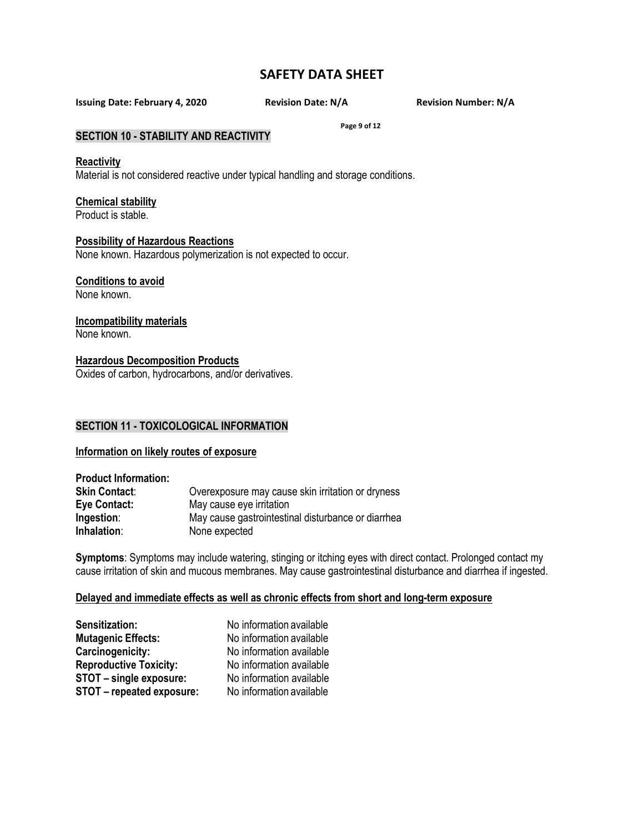**Page 9 of 12**

**Issuing Date: February 4, 2020 Revision Date: N/A Revision Number: N/A**

## **SECTION 10 - STABILITY AND REACTIVITY**

#### **Reactivity**

Material is not considered reactive under typical handling and storage conditions.

#### **Chemical stability**

Product is stable.

#### **Possibility of Hazardous Reactions**

None known. Hazardous polymerization is not expected to occur.

### **Conditions to avoid**

None known.

### **Incompatibility materials**

None known.

# **Hazardous Decomposition Products**

Oxides of carbon, hydrocarbons, and/or derivatives.

## **SECTION 11 - TOXICOLOGICAL INFORMATION**

## **Information on likely routes of exposure**

| <b>Product Information:</b> |                                                    |
|-----------------------------|----------------------------------------------------|
| <b>Skin Contact:</b>        | Overexposure may cause skin irritation or dryness  |
| Eye Contact:                | May cause eye irritation                           |
| Ingestion:                  | May cause gastrointestinal disturbance or diarrhea |
| Inhalation:                 | None expected                                      |

**Symptoms**: Symptoms may include watering, stinging or itching eyes with direct contact. Prolonged contact my cause irritation of skin and mucous membranes. May cause gastrointestinal disturbance and diarrhea if ingested.

## **Delayed and immediate effects as well as chronic effects from short and long-term exposure**

| <b>Sensitization:</b>         | No information available |
|-------------------------------|--------------------------|
| <b>Mutagenic Effects:</b>     | No information available |
| Carcinogenicity:              | No information available |
| <b>Reproductive Toxicity:</b> | No information available |
| STOT - single exposure:       | No information available |
| STOT - repeated exposure:     | No information available |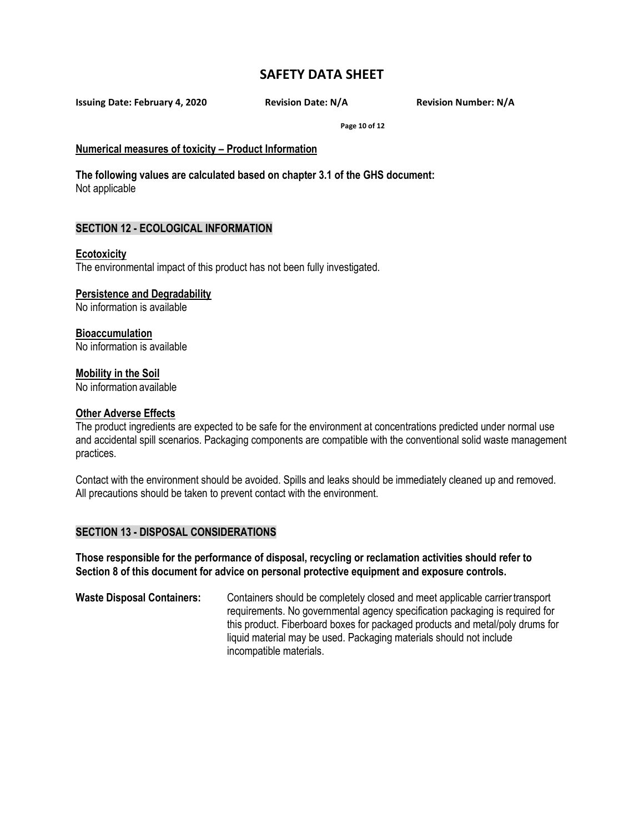**Issuing Date: February 4, 2020 Revision Date: N/A Revision Number: N/A**

**Page 10 of 12**

#### **Numerical measures of toxicity – Product Information**

**The following values are calculated based on chapter 3.1 of the GHS document:** Not applicable

### **SECTION 12 - ECOLOGICAL INFORMATION**

#### **Ecotoxicity**

The environmental impact of this product has not been fully investigated.

### **Persistence and Degradability**

No information is available

### **Bioaccumulation**

No information is available

#### **Mobility in the Soil**

No information available

#### **Other Adverse Effects**

The product ingredients are expected to be safe for the environment at concentrations predicted under normal use and accidental spill scenarios. Packaging components are compatible with the conventional solid waste management practices.

Contact with the environment should be avoided. Spills and leaks should be immediately cleaned up and removed. All precautions should be taken to prevent contact with the environment.

#### **SECTION 13 - DISPOSAL CONSIDERATIONS**

**Those responsible for the performance of disposal, recycling or reclamation activities should refer to Section 8 of this document for advice on personal protective equipment and exposure controls.**

**Waste Disposal Containers:** Containers should be completely closed and meet applicable carriertransport requirements. No governmental agency specification packaging is required for this product. Fiberboard boxes for packaged products and metal/poly drums for liquid material may be used. Packaging materials should not include incompatible materials.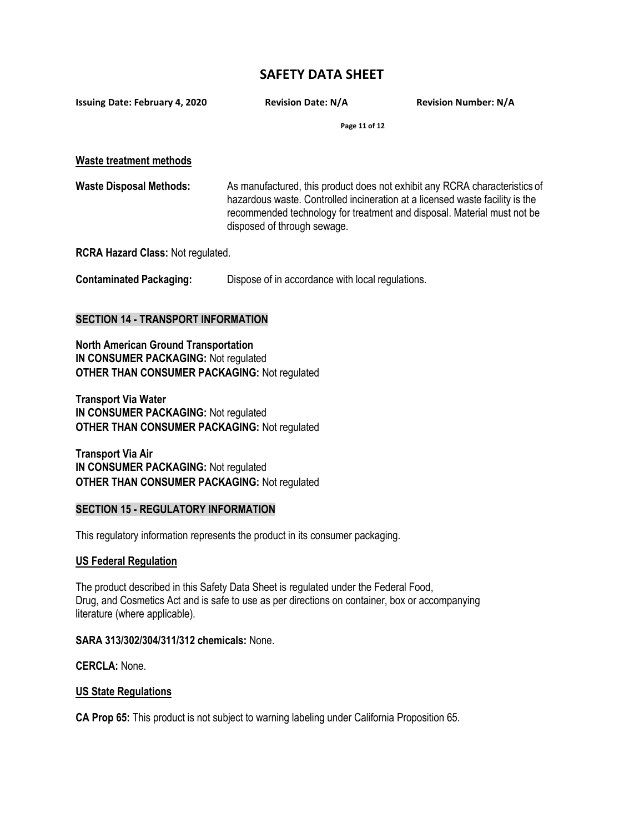**Issuing Date: February 4, 2020 Revision Date: N/A Revision Number: N/A**

**Page 11 of 12**

**Waste treatment methods**

**Waste Disposal Methods:** As manufactured, this product does not exhibit any RCRA characteristics of hazardous waste. Controlled incineration at a licensed waste facility is the recommended technology for treatment and disposal. Material must not be disposed of through sewage.

**RCRA Hazard Class:** Not regulated.

**Contaminated Packaging:** Dispose of in accordance with local regulations.

### **SECTION 14 - TRANSPORT INFORMATION**

**North American Ground Transportation IN CONSUMER PACKAGING:** Not regulated **OTHER THAN CONSUMER PACKAGING:** Not regulated

**Transport Via Water IN CONSUMER PACKAGING:** Not regulated **OTHER THAN CONSUMER PACKAGING:** Not regulated

**Transport Via Air IN CONSUMER PACKAGING:** Not regulated **OTHER THAN CONSUMER PACKAGING:** Not regulated

## **SECTION 15 - REGULATORY INFORMATION**

This regulatory information represents the product in its consumer packaging.

#### **US Federal Regulation**

The product described in this Safety Data Sheet is regulated under the Federal Food, Drug, and Cosmetics Act and is safe to use as per directions on container, box or accompanying literature (where applicable).

#### **SARA 313/302/304/311/312 chemicals:** None.

**CERCLA:** None.

#### **US State Regulations**

**CA Prop 65:** This product is not subject to warning labeling under California Proposition 65.